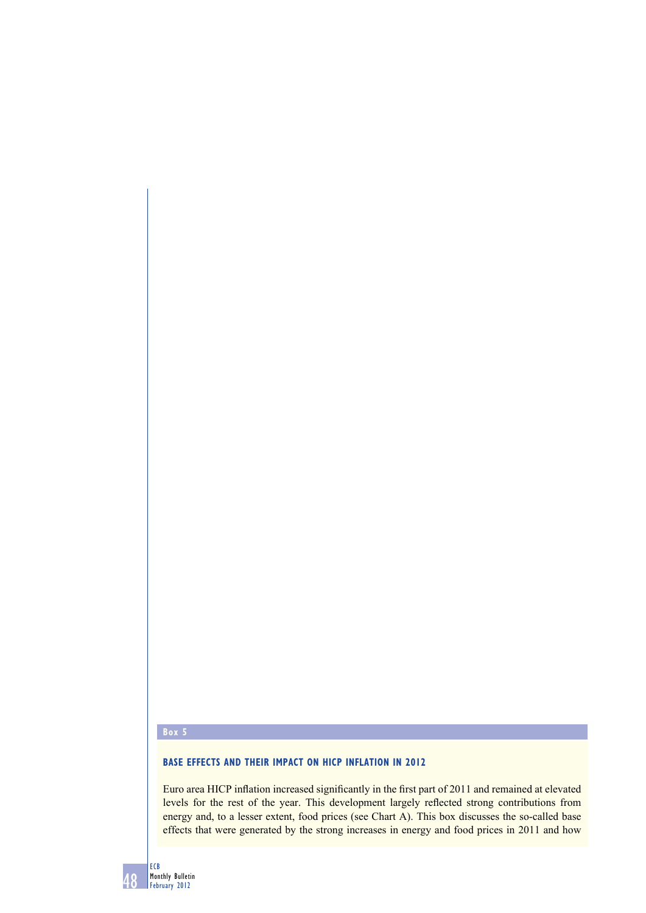## **Box 5**

## **BASE EFFECTS AND THEIR IMPACT ON HICP INFLATION IN 2012**

Euro area HICP inflation increased significantly in the first part of 2011 and remained at elevated levels for the rest of the year. This development largely reflected strong contributions from energy and, to a lesser extent, food prices (see Chart A). This box discusses the so-called base effects that were generated by the strong increases in energy and food prices in 2011 and how

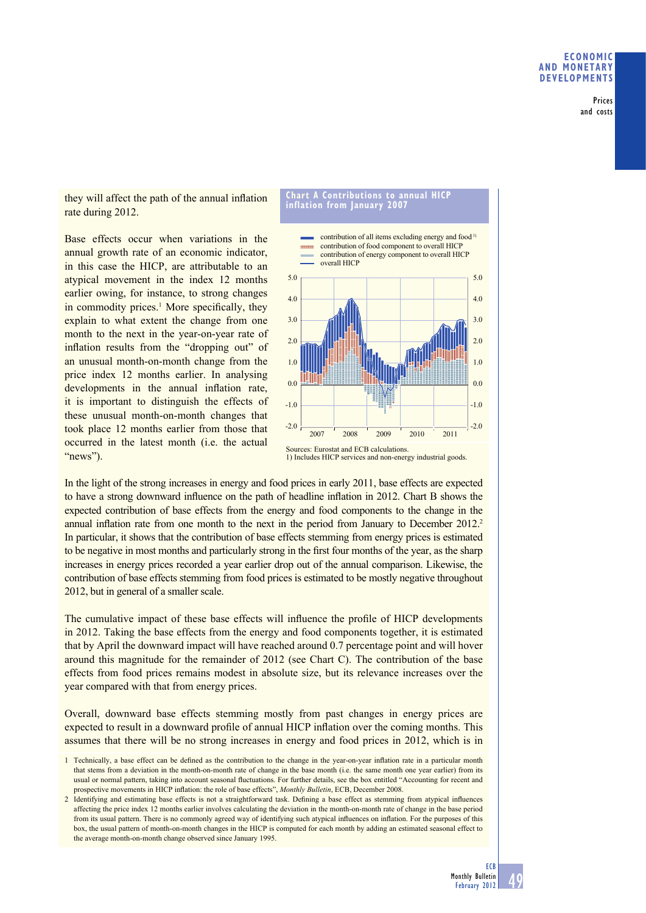Prices and costs

they will affect the path of the annual inflation rate during 2012.

Base effects occur when variations in the annual growth rate of an economic indicator, in this case the HICP, are attributable to an atypical movement in the index 12 months earlier owing, for instance, to strong changes in commodity prices.<sup>1</sup> More specifically, they explain to what extent the change from one month to the next in the year-on-year rate of inflation results from the "dropping out" of an unusual month-on-month change from the price index 12 months earlier. In analysing developments in the annual inflation rate, it is important to distinguish the effects of these unusual month-on-month changes that took place 12 months earlier from those that occurred in the latest month (i.e. the actual "news").

## **Chart A Contributions to annual HICP inflation from January 2007**



Sources: Eurostat and ECB calculations. 1) Includes HICP services and non-energy industrial goods.

In the light of the strong increases in energy and food prices in early 2011, base effects are expected to have a strong downward influence on the path of headline inflation in 2012. Chart B shows the expected contribution of base effects from the energy and food components to the change in the annual inflation rate from one month to the next in the period from January to December 2012.<sup>2</sup> In particular, it shows that the contribution of base effects stemming from energy prices is estimated to be negative in most months and particularly strong in the first four months of the year, as the sharp increases in energy prices recorded a year earlier drop out of the annual comparison. Likewise, the contribution of base effects stemming from food prices is estimated to be mostly negative throughout 2012, but in general of a smaller scale.

The cumulative impact of these base effects will influence the profile of HICP developments in 2012. Taking the base effects from the energy and food components together, it is estimated that by April the downward impact will have reached around 0.7 percentage point and will hover around this magnitude for the remainder of 2012 (see Chart C). The contribution of the base effects from food prices remains modest in absolute size, but its relevance increases over the year compared with that from energy prices.

Overall, downward base effects stemming mostly from past changes in energy prices are expected to result in a downward profile of annual HICP inflation over the coming months. This assumes that there will be no strong increases in energy and food prices in 2012, which is in

- 1 Technically, a base effect can be defined as the contribution to the change in the year-on-year inflation rate in a particular month that stems from a deviation in the month-on-month rate of change in the base month (i.e. the same month one year earlier) from its usual or normal pattern, taking into account seasonal fluctuations. For further details, see the box entitled "Accounting for recent and prospective movements in HICP inflation: the role of base effects", *Monthly Bulletin*, ECB, December 2008.
- 2 Identifying and estimating base effects is not a straightforward task. Defining a base effect as stemming from atypical influences affecting the price index 12 months earlier involves calculating the deviation in the month-on-month rate of change in the base period from its usual pattern. There is no commonly agreed way of identifying such atypical influences on inflation. For the purposes of this box, the usual pattern of month-on-month changes in the HICP is computed for each month by adding an estimated seasonal effect to the average month-on-month change observed since January 1995.